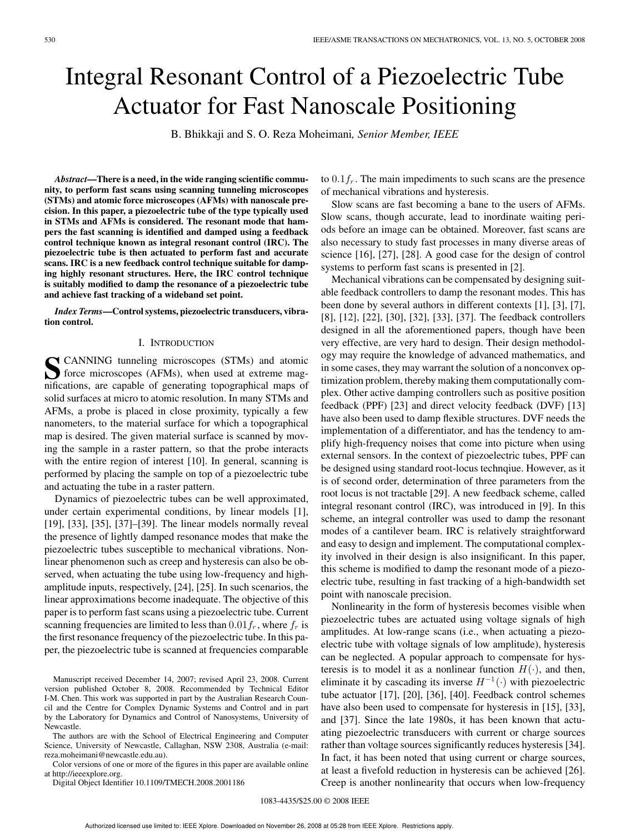# Integral Resonant Control of a Piezoelectric Tube Actuator for Fast Nanoscale Positioning

B. Bhikkaji and S. O. Reza Moheimani*, Senior Member, IEEE*

*Abstract***—There is a need, in the wide ranging scientific community, to perform fast scans using scanning tunneling microscopes (STMs) and atomic force microscopes (AFMs) with nanoscale precision. In this paper, a piezoelectric tube of the type typically used in STMs and AFMs is considered. The resonant mode that hampers the fast scanning is identified and damped using a feedback control technique known as integral resonant control (IRC). The piezoelectric tube is then actuated to perform fast and accurate scans. IRC is a new feedback control technique suitable for damping highly resonant structures. Here, the IRC control technique is suitably modified to damp the resonance of a piezoelectric tube and achieve fast tracking of a wideband set point.**

*Index Terms***—Control systems, piezoelectric transducers, vibration control.**

## I. INTRODUCTION

Sa CANNING tunneling microscopes (STMs) and atomic<br>
Solutions are considered to a contract the magnifications are considered to a constraint to a contract the original page of force microscopes (AFMs), when used at extreme magnifications, are capable of generating topographical maps of solid surfaces at micro to atomic resolution. In many STMs and AFMs, a probe is placed in close proximity, typically a few nanometers, to the material surface for which a topographical map is desired. The given material surface is scanned by moving the sample in a raster pattern, so that the probe interacts with the entire region of interest [10]. In general, scanning is performed by placing the sample on top of a piezoelectric tube and actuating the tube in a raster pattern.

Dynamics of piezoelectric tubes can be well approximated, under certain experimental conditions, by linear models [1], [19], [33], [35], [37]–[39]. The linear models normally reveal the presence of lightly damped resonance modes that make the piezoelectric tubes susceptible to mechanical vibrations. Nonlinear phenomenon such as creep and hysteresis can also be observed, when actuating the tube using low-frequency and highamplitude inputs, respectively, [24], [25]. In such scenarios, the linear approximations become inadequate. The objective of this paper is to perform fast scans using a piezoelectric tube. Current scanning frequencies are limited to less than  $0.01f_r$ , where  $f_r$  is the first resonance frequency of the piezoelectric tube. In this paper, the piezoelectric tube is scanned at frequencies comparable

Manuscript received December 14, 2007; revised April 23, 2008. Current version published October 8, 2008. Recommended by Technical Editor I-M. Chen. This work was supported in part by the Australian Research Council and the Centre for Complex Dynamic Systems and Control and in part by the Laboratory for Dynamics and Control of Nanosystems, University of Newcastle.

The authors are with the School of Electrical Engineering and Computer Science, University of Newcastle, Callaghan, NSW 2308, Australia (e-mail: reza.moheimani@newcastle.edu.au).

Color versions of one or more of the figures in this paper are available online at http://ieeexplore.org.

Digital Object Identifier 10.1109/TMECH.2008.2001186

to  $0.1f_r$ . The main impediments to such scans are the presence of mechanical vibrations and hysteresis.

Slow scans are fast becoming a bane to the users of AFMs. Slow scans, though accurate, lead to inordinate waiting periods before an image can be obtained. Moreover, fast scans are also necessary to study fast processes in many diverse areas of science [16], [27], [28]. A good case for the design of control systems to perform fast scans is presented in [2].

Mechanical vibrations can be compensated by designing suitable feedback controllers to damp the resonant modes. This has been done by several authors in different contexts [1], [3], [7], [8], [12], [22], [30], [32], [33], [37]. The feedback controllers designed in all the aforementioned papers, though have been very effective, are very hard to design. Their design methodology may require the knowledge of advanced mathematics, and in some cases, they may warrant the solution of a nonconvex optimization problem, thereby making them computationally complex. Other active damping controllers such as positive position feedback (PPF) [23] and direct velocity feedback (DVF) [13] have also been used to damp flexible structures. DVF needs the implementation of a differentiator, and has the tendency to amplify high-frequency noises that come into picture when using external sensors. In the context of piezoelectric tubes, PPF can be designed using standard root-locus technqiue. However, as it is of second order, determination of three parameters from the root locus is not tractable [29]. A new feedback scheme, called integral resonant control (IRC), was introduced in [9]. In this scheme, an integral controller was used to damp the resonant modes of a cantilever beam. IRC is relatively straightforward and easy to design and implement. The computational complexity involved in their design is also insignificant. In this paper, this scheme is modified to damp the resonant mode of a piezoelectric tube, resulting in fast tracking of a high-bandwidth set point with nanoscale precision.

Nonlinearity in the form of hysteresis becomes visible when piezoelectric tubes are actuated using voltage signals of high amplitudes. At low-range scans (i.e., when actuating a piezoelectric tube with voltage signals of low amplitude), hysteresis can be neglected. A popular approach to compensate for hysteresis is to model it as a nonlinear function  $H(\cdot)$ , and then, eliminate it by cascading its inverse  $H^{-1}(\cdot)$  with piezoelectric tube actuator [17], [20], [36], [40]. Feedback control schemes have also been used to compensate for hysteresis in [15], [33], and [37]. Since the late 1980s, it has been known that actuating piezoelectric transducers with current or charge sources rather than voltage sources significantly reduces hysteresis [34]. In fact, it has been noted that using current or charge sources, at least a fivefold reduction in hysteresis can be achieved [26]. Creep is another nonlinearity that occurs when low-frequency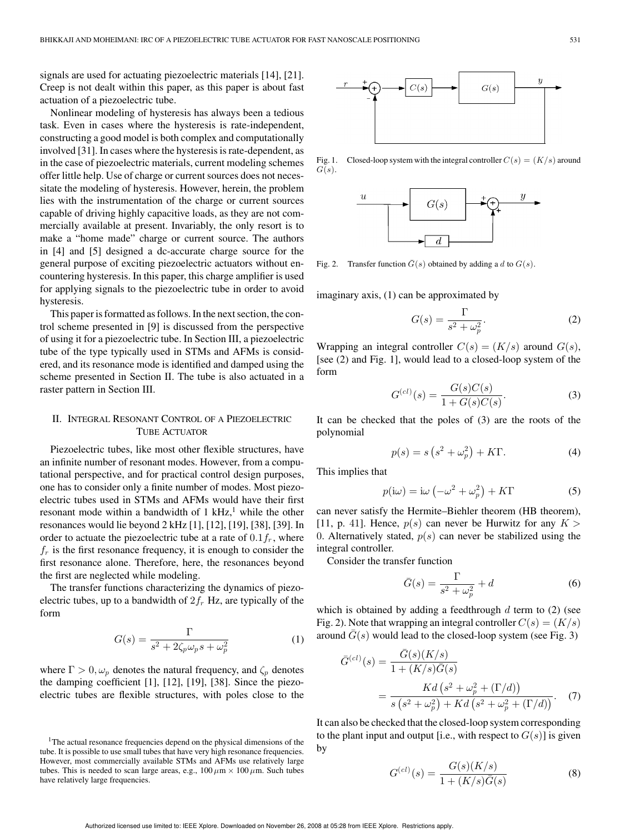signals are used for actuating piezoelectric materials [14], [21]. Creep is not dealt within this paper, as this paper is about fast actuation of a piezoelectric tube.

Nonlinear modeling of hysteresis has always been a tedious task. Even in cases where the hysteresis is rate-independent, constructing a good model is both complex and computationally involved [31]. In cases where the hysteresis is rate-dependent, as in the case of piezoelectric materials, current modeling schemes offer little help. Use of charge or current sources does not necessitate the modeling of hysteresis. However, herein, the problem lies with the instrumentation of the charge or current sources capable of driving highly capacitive loads, as they are not commercially available at present. Invariably, the only resort is to make a "home made" charge or current source. The authors in [4] and [5] designed a dc-accurate charge source for the general purpose of exciting piezoelectric actuators without encountering hysteresis. In this paper, this charge amplifier is used for applying signals to the piezoelectric tube in order to avoid hysteresis.

This paper is formatted as follows. In the next section, the control scheme presented in [9] is discussed from the perspective of using it for a piezoelectric tube. In Section III, a piezoelectric tube of the type typically used in STMs and AFMs is considered, and its resonance mode is identified and damped using the scheme presented in Section II. The tube is also actuated in a raster pattern in Section III.

## II. INTEGRAL RESONANT CONTROL OF A PIEZOELECTRIC TUBE ACTUATOR

Piezoelectric tubes, like most other flexible structures, have an infinite number of resonant modes. However, from a computational perspective, and for practical control design purposes, one has to consider only a finite number of modes. Most piezoelectric tubes used in STMs and AFMs would have their first resonant mode within a bandwidth of  $1 \text{ kHz}^1$ , while the other resonances would lie beyond 2 kHz [1], [12], [19], [38], [39]. In order to actuate the piezoelectric tube at a rate of  $0.1f_r$ , where  $f<sub>r</sub>$  is the first resonance frequency, it is enough to consider the first resonance alone. Therefore, here, the resonances beyond the first are neglected while modeling.

The transfer functions characterizing the dynamics of piezoelectric tubes, up to a bandwidth of  $2f_r$  Hz, are typically of the form

$$
G(s) = \frac{\Gamma}{s^2 + 2\zeta_p \omega_p s + \omega_p^2}
$$
 (1)

where  $\Gamma > 0$ ,  $\omega_p$  denotes the natural frequency, and  $\zeta_p$  denotes the damping coefficient [1], [12], [19], [38]. Since the piezoelectric tubes are flexible structures, with poles close to the

<sup>1</sup>The actual resonance frequencies depend on the physical dimensions of the tube. It is possible to use small tubes that have very high resonance frequencies. However, most commercially available STMs and AFMs use relatively large tubes. This is needed to scan large areas, e.g.,  $100 \mu m \times 100 \mu m$ . Such tubes have relatively large frequencies.



Fig. 1. Closed-loop system with the integral controller  $C(s)=(K/s)$  around  $G(s)$ .



Fig. 2. Transfer function  $\overline{G}(s)$  obtained by adding a d to  $G(s)$ .

imaginary axis, (1) can be approximated by

$$
G(s) = \frac{\Gamma}{s^2 + \omega_p^2}.
$$
 (2)

Wrapping an integral controller  $C(s)=(K/s)$  around  $G(s)$ , [see (2) and Fig. 1], would lead to a closed-loop system of the form

$$
G^{(cl)}(s) = \frac{G(s)C(s)}{1 + G(s)C(s)}.
$$
\n(3)

It can be checked that the poles of (3) are the roots of the polynomial

$$
p(s) = s\left(s^2 + \omega_p^2\right) + K\Gamma.
$$
 (4)

This implies that

$$
p(i\omega) = i\omega \left(-\omega^2 + \omega_p^2\right) + K\Gamma \tag{5}
$$

can never satisfy the Hermite–Biehler theorem (HB theorem), [11, p. 41]. Hence,  $p(s)$  can never be Hurwitz for any  $K >$ 0. Alternatively stated,  $p(s)$  can never be stabilized using the integral controller.

Consider the transfer function

$$
\bar{G}(s) = \frac{\Gamma}{s^2 + \omega_p^2} + d \tag{6}
$$

which is obtained by adding a feedthrough  $d$  term to (2) (see Fig. 2). Note that wrapping an integral controller  $C(s)=(K/s)$ around  $\overline{G}(s)$  would lead to the closed-loop system (see Fig. 3)

$$
\bar{G}^{(cl)}(s) = \frac{\bar{G}(s)(K/s)}{1 + (K/s)\bar{G}(s)}
$$
  
= 
$$
\frac{Kd(s^2 + \omega_p^2 + (\Gamma/d))}{s(s^2 + \omega_p^2) + Kd(s^2 + \omega_p^2 + (\Gamma/d))}.
$$
 (7)

It can also be checked that the closed-loop system corresponding to the plant input and output [i.e., with respect to  $G(s)$ ] is given by

$$
G^{(cl)}(s) = \frac{G(s)(K/s)}{1 + (K/s)\bar{G}(s)}
$$
(8)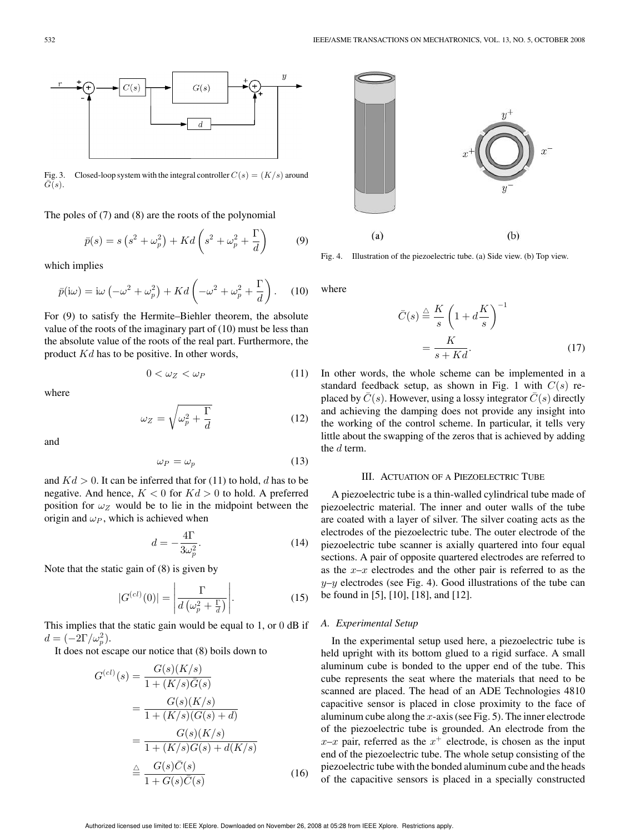

Fig. 3. Closed-loop system with the integral controller  $C(s)=(K/s)$  around  $G(s)$ .

The poles of (7) and (8) are the roots of the polynomial

$$
\bar{p}(s) = s\left(s^2 + \omega_p^2\right) + Kd\left(s^2 + \omega_p^2 + \frac{\Gamma}{d}\right) \tag{9}
$$

which implies

$$
\bar{p}(i\omega) = i\omega \left( -\omega^2 + \omega_p^2 \right) + Kd\left( -\omega^2 + \omega_p^2 + \frac{\Gamma}{d} \right). \tag{10}
$$

For (9) to satisfy the Hermite–Biehler theorem, the absolute value of the roots of the imaginary part of (10) must be less than the absolute value of the roots of the real part. Furthermore, the product Kd has to be positive. In other words,

$$
0 < \omega_Z < \omega_P \tag{11}
$$

where

$$
\omega_Z = \sqrt{\omega_p^2 + \frac{\Gamma}{d}}
$$
 (12)

and

$$
\omega_P = \omega_p \tag{13}
$$

and  $Kd > 0$ . It can be inferred that for (11) to hold, d has to be negative. And hence,  $K < 0$  for  $Kd > 0$  to hold. A preferred position for  $\omega_z$  would be to lie in the midpoint between the origin and  $\omega_P$ , which is achieved when

$$
d = -\frac{4\Gamma}{3\omega_p^2}.\tag{14}
$$

Note that the static gain of (8) is given by

$$
|G^{(cl)}(0)| = \left| \frac{\Gamma}{d \left( \omega_p^2 + \frac{\Gamma}{d} \right)} \right|.
$$
 (15)

This implies that the static gain would be equal to  $1$ , or  $0$  dB if  $d = (-2\Gamma/\omega_p^2).$ 

It does not escape our notice that (8) boils down to

$$
G^{(cl)}(s) = \frac{G(s)(K/s)}{1 + (K/s)\bar{G}(s)}
$$

$$
= \frac{G(s)(K/s)}{1 + (K/s)(G(s) + d)}
$$

$$
= \frac{G(s)(K/s)}{1 + (K/s)G(s) + d(K/s)}
$$

$$
\stackrel{\triangle}{=} \frac{G(s)\bar{C}(s)}{1 + G(s)\bar{C}(s)} \tag{16}
$$



Fig. 4. Illustration of the piezoelectric tube. (a) Side view. (b) Top view.

where

$$
\bar{C}(s) \stackrel{\triangle}{=} \frac{K}{s} \left( 1 + d \frac{K}{s} \right)^{-1}
$$

$$
= \frac{K}{s + Kd}.
$$
 (17)

In other words, the whole scheme can be implemented in a standard feedback setup, as shown in Fig. 1 with  $C(s)$  replaced by  $\overline{C}(s)$ . However, using a lossy integrator  $\overline{C}(s)$  directly and achieving the damping does not provide any insight into the working of the control scheme. In particular, it tells very little about the swapping of the zeros that is achieved by adding the d term.

#### III. ACTUATION OF A PIEZOELECTRIC TUBE

A piezoelectric tube is a thin-walled cylindrical tube made of piezoelectric material. The inner and outer walls of the tube are coated with a layer of silver. The silver coating acts as the electrodes of the piezoelectric tube. The outer electrode of the piezoelectric tube scanner is axially quartered into four equal sections. A pair of opposite quartered electrodes are referred to as the  $x-x$  electrodes and the other pair is referred to as the  $y-y$  electrodes (see Fig. 4). Good illustrations of the tube can be found in [5], [10], [18], and [12].

#### *A. Experimental Setup*

In the experimental setup used here, a piezoelectric tube is held upright with its bottom glued to a rigid surface. A small aluminum cube is bonded to the upper end of the tube. This cube represents the seat where the materials that need to be scanned are placed. The head of an ADE Technologies 4810 capacitive sensor is placed in close proximity to the face of aluminum cube along the  $x$ -axis (see Fig. 5). The inner electrode of the piezoelectric tube is grounded. An electrode from the  $x-x$  pair, referred as the  $x^+$  electrode, is chosen as the input end of the piezoelectric tube. The whole setup consisting of the piezoelectric tube with the bonded aluminum cube and the heads of the capacitive sensors is placed in a specially constructed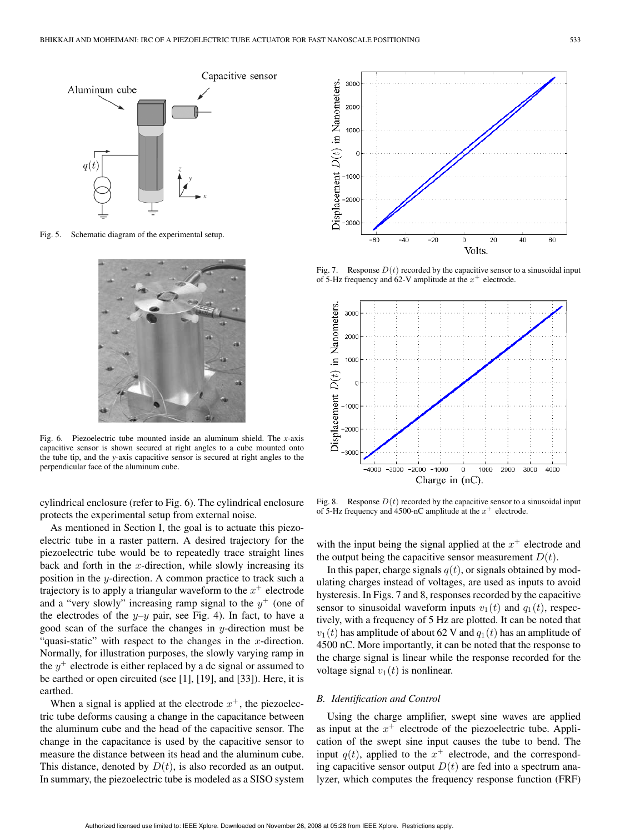

Fig. 5. Schematic diagram of the experimental setup.



Fig. 6. Piezoelectric tube mounted inside an aluminum shield. The *x*-axis capacitive sensor is shown secured at right angles to a cube mounted onto the tube tip, and the *y*-axis capacitive sensor is secured at right angles to the perpendicular face of the aluminum cube.

cylindrical enclosure (refer to Fig. 6). The cylindrical enclosure protects the experimental setup from external noise.

As mentioned in Section I, the goal is to actuate this piezoelectric tube in a raster pattern. A desired trajectory for the piezoelectric tube would be to repeatedly trace straight lines back and forth in the  $x$ -direction, while slowly increasing its position in the y-direction. A common practice to track such a trajectory is to apply a triangular waveform to the  $x^+$  electrode and a "very slowly" increasing ramp signal to the  $y^+$  (one of the electrodes of the  $y-y$  pair, see Fig. 4). In fact, to have a good scan of the surface the changes in  $y$ -direction must be "quasi-static" with respect to the changes in the  $x$ -direction. Normally, for illustration purposes, the slowly varying ramp in the  $y^{+}$  electrode is either replaced by a dc signal or assumed to be earthed or open circuited (see [1], [19], and [33]). Here, it is earthed.

When a signal is applied at the electrode  $x^+$ , the piezoelectric tube deforms causing a change in the capacitance between the aluminum cube and the head of the capacitive sensor. The change in the capacitance is used by the capacitive sensor to measure the distance between its head and the aluminum cube. This distance, denoted by  $D(t)$ , is also recorded as an output. In summary, the piezoelectric tube is modeled as a SISO system



Fig. 7. Response  $D(t)$  recorded by the capacitive sensor to a sinusoidal input of 5-Hz frequency and 62-V amplitude at the  $x^+$  electrode.



Fig. 8. Response  $D(t)$  recorded by the capacitive sensor to a sinusoidal input of 5-Hz frequency and 4500-nC amplitude at the  $x^+$  electrode.

with the input being the signal applied at the  $x^+$  electrode and the output being the capacitive sensor measurement  $D(t)$ .

In this paper, charge signals  $q(t)$ , or signals obtained by modulating charges instead of voltages, are used as inputs to avoid hysteresis. In Figs. 7 and 8, responses recorded by the capacitive sensor to sinusoidal waveform inputs  $v_1(t)$  and  $q_1(t)$ , respectively, with a frequency of 5 Hz are plotted. It can be noted that  $v_1(t)$  has amplitude of about 62 V and  $q_1(t)$  has an amplitude of 4500 nC. More importantly, it can be noted that the response to the charge signal is linear while the response recorded for the voltage signal  $v_1(t)$  is nonlinear.

#### *B. Identification and Control*

Using the charge amplifier, swept sine waves are applied as input at the  $x^+$  electrode of the piezoelectric tube. Application of the swept sine input causes the tube to bend. The input  $q(t)$ , applied to the  $x^{+}$  electrode, and the corresponding capacitive sensor output  $D(t)$  are fed into a spectrum analyzer, which computes the frequency response function (FRF)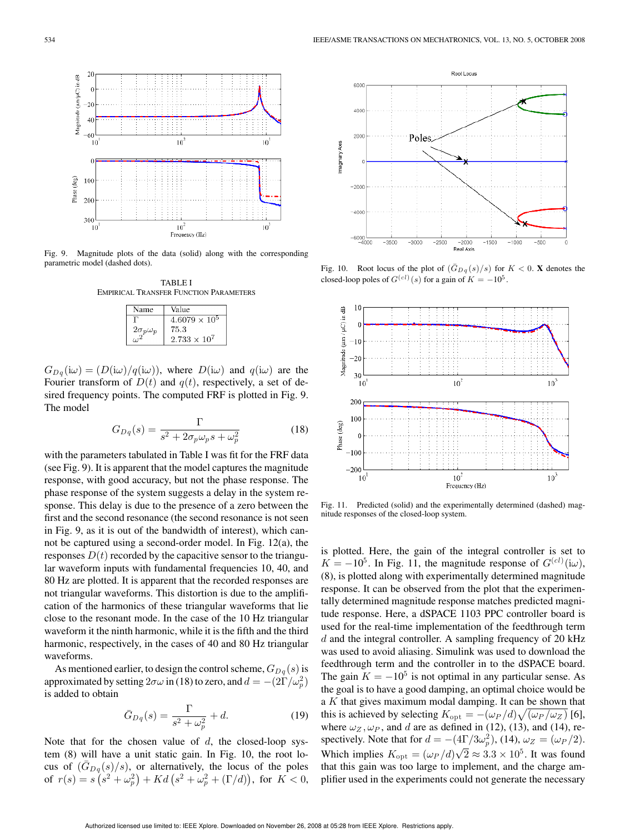

Fig. 9. Magnitude plots of the data (solid) along with the corresponding parametric model (dashed dots).

TABLE I EMPIRICAL TRANSFER FUNCTION PARAMETERS

| Name                | Value                  |
|---------------------|------------------------|
|                     | $4.6079 \times 10^{5}$ |
| $2\sigma_p\omega_p$ | 75.3                   |
|                     | $2.733 \times 10^{7}$  |

 $G_{Dq}(\mathrm{i}\omega)=(D(\mathrm{i}\omega)/q(\mathrm{i}\omega))$ , where  $D(\mathrm{i}\omega)$  and  $q(\mathrm{i}\omega)$  are the Fourier transform of  $D(t)$  and  $q(t)$ , respectively, a set of desired frequency points. The computed FRF is plotted in Fig. 9. The model

$$
G_{Dq}(s) = \frac{\Gamma}{s^2 + 2\sigma_p \omega_p s + \omega_p^2}
$$
 (18)

with the parameters tabulated in Table I was fit for the FRF data (see Fig. 9). It is apparent that the model captures the magnitude response, with good accuracy, but not the phase response. The phase response of the system suggests a delay in the system response. This delay is due to the presence of a zero between the first and the second resonance (the second resonance is not seen in Fig. 9, as it is out of the bandwidth of interest), which cannot be captured using a second-order model. In Fig. 12(a), the responses  $D(t)$  recorded by the capacitive sensor to the triangular waveform inputs with fundamental frequencies 10, 40, and 80 Hz are plotted. It is apparent that the recorded responses are not triangular waveforms. This distortion is due to the amplification of the harmonics of these triangular waveforms that lie close to the resonant mode. In the case of the 10 Hz triangular waveform it the ninth harmonic, while it is the fifth and the third harmonic, respectively, in the cases of 40 and 80 Hz triangular waveforms.

As mentioned earlier, to design the control scheme,  $G_{Dq}(s)$  is approximated by setting  $2\sigma\omega$  in (18) to zero, and  $d = -(2\Gamma/\omega_p^2)$ is added to obtain

$$
\bar{G}_{Dq}(s) = \frac{\Gamma}{s^2 + \omega_p^2} + d. \tag{19}
$$

Note that for the chosen value of  $d$ , the closed-loop system (8) will have a unit static gain. In Fig. 10, the root locus of  $(\bar{G}_{Dq}(s)/s)$ , or alternatively, the locus of the poles  $\text{of}\ \ r(s)=s\left(s^2+\omega_{p}^2\right)+Kd\left(s^2+\omega_{p}^2+(\Gamma/d)\right)\!,\ \text{for}\ \ K< 0,$ 



Fig. 10. Root locus of the plot of  $(\overline{G}_{Dq}(s)/s)$  for  $K < 0$ . **X** denotes the closed-loop poles of  $G^{(cl)}(s)$  for a gain of  $K = -10^5$ .



Fig. 11. Predicted (solid) and the experimentally determined (dashed) magnitude responses of the closed-loop system.

is plotted. Here, the gain of the integral controller is set to  $K = -10^5$ . In Fig. 11, the magnitude response of  $G^{(cl)}(i\omega)$ , (8), is plotted along with experimentally determined magnitude response. It can be observed from the plot that the experimentally determined magnitude response matches predicted magnitude response. Here, a dSPACE 1103 PPC controller board is used for the real-time implementation of the feedthrough term  $d$  and the integral controller. A sampling frequency of 20 kHz was used to avoid aliasing. Simulink was used to download the feedthrough term and the controller in to the dSPACE board. The gain  $K = -10^5$  is not optimal in any particular sense. As the goal is to have a good damping, an optimal choice would be a K that gives maximum modal damping. It can be shown that this is achieved by selecting  $K_{\text{opt}} = -(\omega_P/d)\sqrt{(\omega_P/\omega_Z)}$  [6], where  $\omega_Z$ ,  $\omega_P$ , and d are as defined in (12), (13), and (14), respectively. Note that for  $d = -(4\Gamma/3\omega_p^2)$ , (14),  $\omega_Z = (\omega_P/2)$ . Which implies  $K_{\text{opt}} = (\omega_P/d)\sqrt{2} \approx 3.3 \times 10^5$ . It was found that this gain was too large to implement, and the charge amplifier used in the experiments could not generate the necessary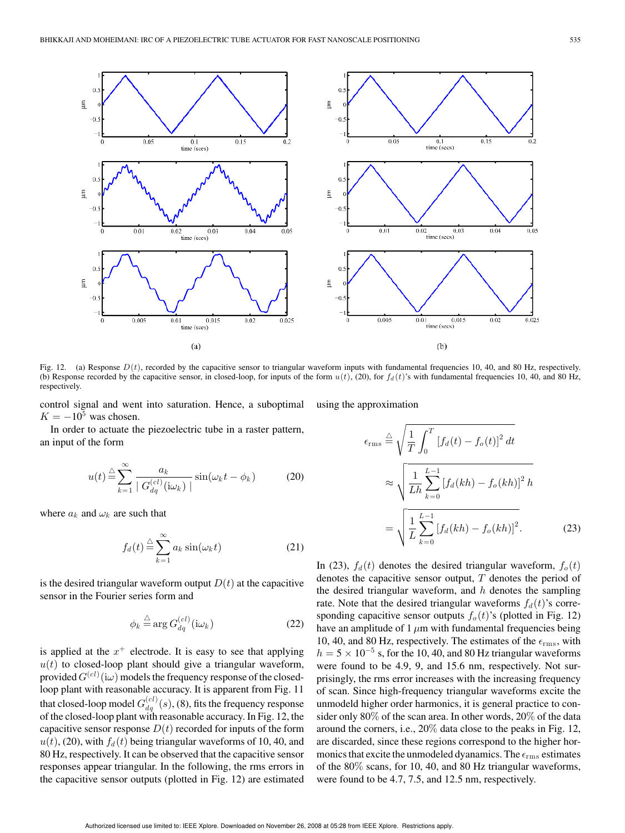

Fig. 12. (a) Response  $D(t)$ , recorded by the capacitive sensor to triangular waveform inputs with fundamental frequencies 10, 40, and 80 Hz, respectively. (b) Response recorded by the capacitive sensor, in closed-loop, for inputs of the form  $u(t)$ , (20), for  $f_d(t)$ 's with fundamental frequencies 10, 40, and 80 Hz, respectively.

 $\epsilon$ 

control signal and went into saturation. Hence, a suboptimal  $K = -10<sup>5</sup>$  was chosen. using the approximation

In order to actuate the piezoelectric tube in a raster pattern, an input of the form

$$
u(t) \stackrel{\triangle}{=} \sum_{k=1}^{\infty} \frac{a_k}{\left| G_{dq}^{(cl)}(i\omega_k) \right|} \sin(\omega_k t - \phi_k)
$$
 (20)

where  $a_k$  and  $\omega_k$  are such that

$$
f_d(t) \stackrel{\triangle}{=} \sum_{k=1}^{\infty} a_k \sin(\omega_k t)
$$
 (21)

is the desired triangular waveform output  $D(t)$  at the capacitive sensor in the Fourier series form and

$$
\phi_k \stackrel{\triangle}{=} \arg G_{dq}^{(cl)}(\mathrm{i}\omega_k) \tag{22}
$$

is applied at the  $x^{+}$  electrode. It is easy to see that applying  $u(t)$  to closed-loop plant should give a triangular waveform, provided  $G^{(cl)}(\mathrm{i}\omega)$  models the frequency response of the closedloop plant with reasonable accuracy. It is apparent from Fig. 11 that closed-loop model  $G_{dq}^{(cl)}(s)$ , (8), fits the frequency response of the closed-loop plant with reasonable accuracy. In Fig. 12, the capacitive sensor response  $D(t)$  recorded for inputs of the form  $u(t)$ , (20), with  $f_d(t)$  being triangular waveforms of 10, 40, and 80 Hz, respectively. It can be observed that the capacitive sensor responses appear triangular. In the following, the rms errors in the capacitive sensor outputs (plotted in Fig. 12) are estimated

$$
\lim_{\text{rms}} \stackrel{\triangle}{=} \sqrt{\frac{1}{T} \int_0^T \left[ f_d(t) - f_o(t) \right]^2 dt}
$$
\n
$$
\approx \sqrt{\frac{1}{Lh} \sum_{k=0}^{L-1} \left[ f_d(kh) - f_o(kh) \right]^2 h}
$$
\n
$$
= \sqrt{\frac{1}{L} \sum_{k=0}^{L-1} \left[ f_d(kh) - f_o(kh) \right]^2}.
$$
\n(23)

In (23),  $f_d(t)$  denotes the desired triangular waveform,  $f_o(t)$ denotes the capacitive sensor output,  $T$  denotes the period of the desired triangular waveform, and  $h$  denotes the sampling rate. Note that the desired triangular waveforms  $f_d(t)$ 's corresponding capacitive sensor outputs  $f<sub>o</sub>(t)$ 's (plotted in Fig. 12) have an amplitude of  $1 \mu m$  with fundamental frequencies being 10, 40, and 80 Hz, respectively. The estimates of the  $\epsilon_{\rm rms}$ , with  $h = 5 \times 10^{-5}$  s, for the 10, 40, and 80 Hz triangular waveforms were found to be 4.9, 9, and 15.6 nm, respectively. Not surprisingly, the rms error increases with the increasing frequency of scan. Since high-frequency triangular waveforms excite the unmodeld higher order harmonics, it is general practice to consider only 80% of the scan area. In other words, 20% of the data around the corners, i.e., 20% data close to the peaks in Fig. 12, are discarded, since these regions correspond to the higher hormonics that excite the unmodeled dyanamics. The  $\epsilon_{\rm rms}$  estimates of the 80% scans, for 10, 40, and 80 Hz triangular waveforms, were found to be 4.7, 7.5, and 12.5 nm, respectively.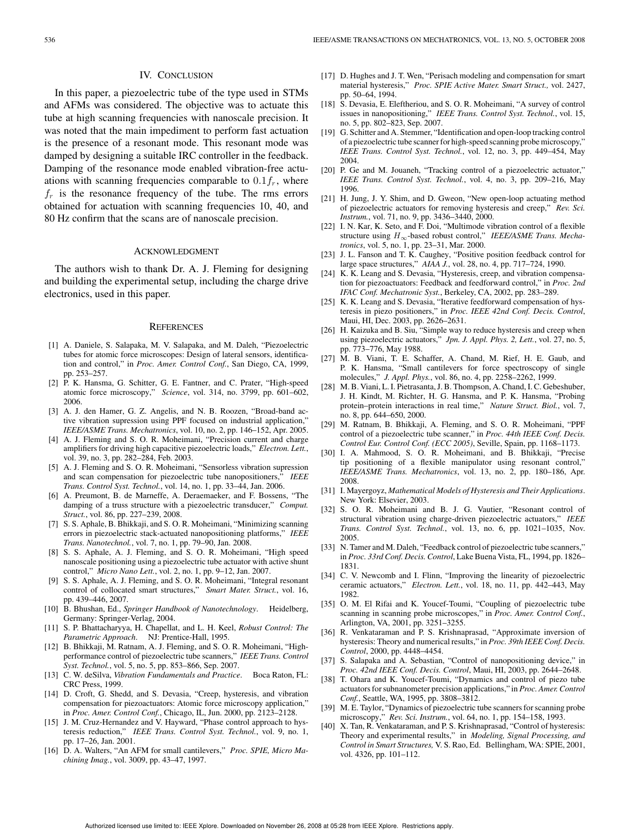### IV. CONCLUSION

In this paper, a piezoelectric tube of the type used in STMs and AFMs was considered. The objective was to actuate this tube at high scanning frequencies with nanoscale precision. It was noted that the main impediment to perform fast actuation is the presence of a resonant mode. This resonant mode was damped by designing a suitable IRC controller in the feedback. Damping of the resonance mode enabled vibration-free actuations with scanning frequencies comparable to  $0.1f_r$ , where  $f<sub>r</sub>$  is the resonance frequency of the tube. The rms errors obtained for actuation with scanning frequencies 10, 40, and 80 Hz confirm that the scans are of nanoscale precision.

#### ACKNOWLEDGMENT

The authors wish to thank Dr. A. J. Fleming for designing and building the experimental setup, including the charge drive electronics, used in this paper.

#### **REFERENCES**

- [1] A. Daniele, S. Salapaka, M. V. Salapaka, and M. Daleh, "Piezoelectric tubes for atomic force microscopes: Design of lateral sensors, identification and control," in *Proc. Amer. Control Conf.*, San Diego, CA, 1999, pp. 253–257.
- [2] P. K. Hansma, G. Schitter, G. E. Fantner, and C. Prater, "High-speed atomic force microscopy," *Science*, vol. 314, no. 3799, pp. 601–602, 2006.
- [3] A. J. den Hamer, G. Z. Angelis, and N. B. Roozen, "Broad-band active vibration supression using PPF focused on industrial application," *IEEE/ASME Trans. Mechatronics*, vol. 10, no. 2, pp. 146–152, Apr. 2005.
- [4] A. J. Fleming and S. O. R. Moheimani, "Precision current and charge amplifiers for driving high capacitive piezoelectric loads," *Electron. Lett.*, vol. 39, no. 3, pp. 282–284, Feb. 2003.
- [5] A. J. Fleming and S. O. R. Moheimani, "Sensorless vibration supression and scan compensation for piezoelectric tube nanopositioners," *IEEE Trans. Control Syst. Technol.*, vol. 14, no. 1, pp. 33–44, Jan. 2006.
- [6] A. Preumont, B. de Marneffe, A. Deraemaeker, and F. Bossens, "The damping of a truss structure with a piezoelectric transducer," *Comput. Struct.*, vol. 86, pp. 227–239, 2008.
- [7] S. S. Aphale, B. Bhikkaji, and S. O. R. Moheimani, "Minimizing scanning errors in piezoelectric stack-actuated nanopositioning platforms," *IEEE Trans. Nanotechnol.*, vol. 7, no. 1, pp. 79–90, Jan. 2008.
- [8] S. S. Aphale, A. J. Fleming, and S. O. R. Moheimani, "High speed nanoscale positioning using a piezoelectric tube actuator with active shunt control," *Micro Nano Lett.*, vol. 2, no. 1, pp. 9–12, Jan. 2007.
- [9] S. S. Aphale, A. J. Fleming, and S. O. R. Moheimani, "Integral resonant control of collocated smart structures," *Smart Mater. Struct.*, vol. 16, pp. 439–446, 2007.
- [10] B. Bhushan, Ed., *Springer Handbook of Nanotechnology*. Heidelberg, Germany: Springer-Verlag, 2004.
- [11] S. P. Bhattacharyya, H. Chapellat, and L. H. Keel, *Robust Control: The Parametric Approach*. NJ: Prentice-Hall, 1995.
- [12] B. Bhikkaji, M. Ratnam, A. J. Fleming, and S. O. R. Moheimani, "Highperformance control of piezoelectric tube scanners," *IEEE Trans. Control Syst. Technol.*, vol. 5, no. 5, pp. 853–866, Sep. 2007.
- [13] C. W. deSilva, *Vibration Fundamentals and Practice*. Boca Raton, FL: CRC Press, 1999.
- [14] D. Croft, G. Shedd, and S. Devasia, "Creep, hysteresis, and vibration compensation for piezoactuators: Atomic force microscopy application," in *Proc. Amer. Control Conf.*, Chicago, IL, Jun. 2000, pp. 2123–2128.
- [15] J. M. Cruz-Hernandez and V. Hayward, "Phase control approach to hysteresis reduction," *IEEE Trans. Control Syst. Technol.*, vol. 9, no. 1, pp. 17–26, Jan. 2001.
- [16] D. A. Walters, "An AFM for small cantilevers," *Proc. SPIE, Micro Machining Imag.*, vol. 3009, pp. 43–47, 1997.
- [17] D. Hughes and J. T. Wen, "Perisach modeling and compensation for smart material hysteresis," *Proc. SPIE Active Mater. Smart Struct.,* vol. 2427, pp. 50–64, 1994.
- [18] S. Devasia, E. Eleftheriou, and S. O. R. Moheimani, "A survey of control issues in nanopositioning," *IEEE Trans. Control Syst. Technol.*, vol. 15, no. 5, pp. 802–823, Sep. 2007.
- [19] G. Schitter and A. Stemmer, "Identification and open-loop tracking control of a piezoelectric tube scanner for high-speed scanning probe microscopy," *IEEE Trans. Control Syst. Technol.*, vol. 12, no. 3, pp. 449–454, May 2004.
- [20] P. Ge and M. Jouaneh, "Tracking control of a piezoelectric actuator," *IEEE Trans. Control Syst. Technol.*, vol. 4, no. 3, pp. 209–216, May 1996.
- [21] H. Jung, J. Y. Shim, and D. Gweon, "New open-loop actuating method of piezoelectric actuators for removing hysteresis and creep," *Rev. Sci. Instrum.*, vol. 71, no. 9, pp. 3436–3440, 2000.
- [22] I. N. Kar, K. Seto, and F. Doi, "Multimode vibration control of a flexible structure using H∞-based robust control," *IEEE/ASME Trans. Mechatronics*, vol. 5, no. 1, pp. 23–31, Mar. 2000.
- [23] J. L. Fanson and T. K. Caughey, "Positive position feedback control for large space structures," *AIAA J.*, vol. 28, no. 4, pp. 717–724, 1990.
- [24] K. K. Leang and S. Devasia, "Hysteresis, creep, and vibration compensation for piezoactuators: Feedback and feedforward control," in *Proc. 2nd IFAC Conf. Mechatronic Syst.*, Berkeley, CA, 2002, pp. 283–289.
- [25] K. K. Leang and S. Devasia, "Iterative feedforward compensation of hysteresis in piezo positioners," in *Proc. IEEE 42nd Conf. Decis. Control*, Maui, HI, Dec. 2003, pp. 2626–2631.
- [26] H. Kaizuka and B. Siu, "Simple way to reduce hysteresis and creep when using piezoelectric actuators," *Jpn. J. Appl. Phys. 2, Lett.*, vol. 27, no. 5, pp. 773–776, May 1988.
- [27] M. B. Viani, T. E. Schaffer, A. Chand, M. Rief, H. E. Gaub, and P. K. Hansma, "Small cantilevers for force spectroscopy of single molecules," *J. Appl. Phys.*, vol. 86, no. 4, pp. 2258–2262, 1999.
- [28] M. B. Viani, L. I. Pietrasanta, J. B. Thompson, A. Chand, I. C. Gebeshuber, J. H. Kindt, M. Richter, H. G. Hansma, and P. K. Hansma, "Probing protein–protein interactions in real time," *Nature Struct. Biol.*, vol. 7, no. 8, pp. 644–650, 2000.
- [29] M. Ratnam, B. Bhikkaji, A. Fleming, and S. O. R. Moheimani, "PPF control of a piezoelectric tube scanner," in *Proc. 44th IEEE Conf. Decis. Control Eur. Control Conf. (ECC 2005)*, Seville, Spain, pp. 1168–1173.
- [30] I. A. Mahmood, S. O. R. Moheimani, and B. Bhikkaji, "Precise tip positioning of a flexible manipulator using resonant control," *IEEE/ASME Trans. Mechatronics*, vol. 13, no. 2, pp. 180–186, Apr. 2008.
- [31] I. Mayergoyz, *Mathematical Models of Hysteresis and Their Applications*. New York: Elsevier, 2003.
- [32] S. O. R. Moheimani and B. J. G. Vautier, "Resonant control of structural vibration using charge-driven piezoelectric actuators," *IEEE Trans. Control Syst. Technol.*, vol. 13, no. 6, pp. 1021–1035, Nov. 2005.
- [33] N. Tamer and M. Daleh, "Feedback control of piezoelectric tube scanners," in *Proc. 33rd Conf. Decis. Control*, Lake Buena Vista, FL, 1994, pp. 1826– 1831.
- [34] C. V. Newcomb and I. Flinn, "Improving the linearity of piezoelectric ceramic actuators," *Electron. Lett.*, vol. 18, no. 11, pp. 442–443, May 1982.
- [35] O. M. El Rifai and K. Youcef-Toumi, "Coupling of piezoelectric tube scanning in scanning probe microscopes," in *Proc. Amer. Control Conf.*, Arlington, VA, 2001, pp. 3251–3255.
- [36] R. Venkataraman and P. S. Krishnaprasad, "Approximate inversion of hysteresis: Theory and numerical results," in *Proc. 39th IEEE Conf. Decis. Control*, 2000, pp. 4448–4454.
- [37] S. Salapaka and A. Sebastian, "Control of nanopositioning device," in *Proc. 42nd IEEE Conf. Decis. Control*, Maui, HI, 2003, pp. 2644–2648.
- [38] T. Ohara and K. Youcef-Toumi, "Dynamics and control of piezo tube actuators for subnanometer precision applications," in *Proc. Amer. Control Conf.*, Seattle, WA, 1995, pp. 3808–3812.
- [39] M. E. Taylor, "Dynamics of piezoelectric tube scanners for scanning probe microscopy," *Rev. Sci. Instrum.*, vol. 64, no. 1, pp. 154–158, 1993.
- [40] X. Tan, R. Venkataraman, and P. S. Krishnaprasad, "Control of hysteresis: Theory and experimental results," in *Modeling, Signal Processing, and Control in Smart Structures,* V. S. Rao, Ed. Bellingham, WA: SPIE, 2001, vol. 4326, pp. 101–112.